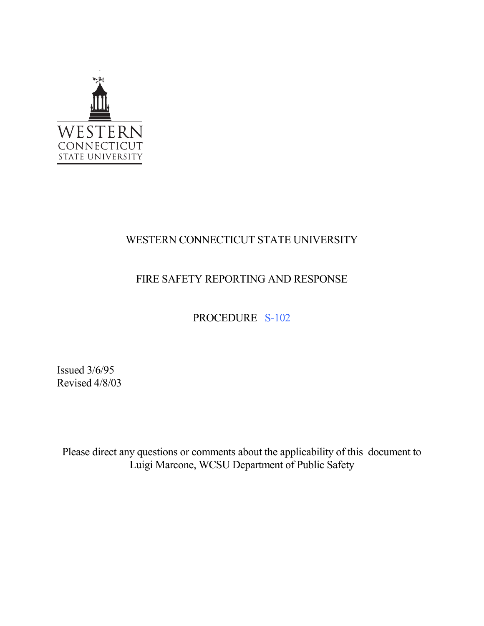

# WESTERN CONNECTICUT STATE UNIVERSITY

## FIRE SAFETY REPORTING AND RESPONSE

## PROCEDURE S-102

Issued 3/6/95 Revised 4/8/03

Please direct any questions or comments about the applicability of this document to Luigi Marcone, WCSU Department of Public Safety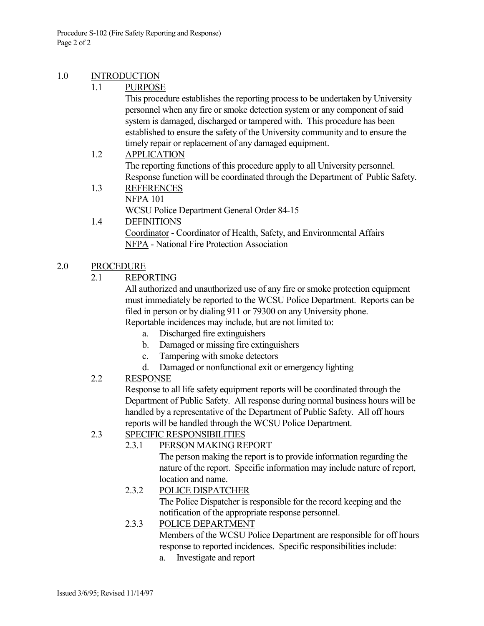#### 1.0 INTRODUCTION

#### 1.1 PURPOSE

This procedure establishes the reporting process to be undertaken by University personnel when any fire or smoke detection system or any component of said system is damaged, discharged or tampered with. This procedure has been established to ensure the safety of the University community and to ensure the timely repair or replacement of any damaged equipment.

- 1.2 APPLICATION The reporting functions of this procedure apply to all University personnel. Response function will be coordinated through the Department of Public Safety.
	- 1.3 REFERENCES NFPA 101 WCSU Police Department General Order 84-15
	- 1.4 DEFINITIONS Coordinator - Coordinator of Health, Safety, and Environmental Affairs NFPA - National Fire Protection Association

#### 2.0 PROCEDURE

2.1 REPORTING

All authorized and unauthorized use of any fire or smoke protection equipment must immediately be reported to the WCSU Police Department. Reports can be filed in person or by dialing 911 or 79300 on any University phone. Reportable incidences may include, but are not limited to:

- a. Discharged fire extinguishers
- b. Damaged or missing fire extinguishers
- c. Tampering with smoke detectors
- d. Damaged or nonfunctional exit or emergency lighting

## 2.2 RESPONSE

Response to all life safety equipment reports will be coordinated through the Department of Public Safety. All response during normal business hours will be handled by a representative of the Department of Public Safety. All off hours reports will be handled through the WCSU Police Department.

## 2.3 SPECIFIC RESPONSIBILITIES

## 2.3.1 PERSON MAKING REPORT

The person making the report is to provide information regarding the nature of the report. Specific information may include nature of report, location and name.

## 2.3.2 POLICE DISPATCHER

The Police Dispatcher is responsible for the record keeping and the notification of the appropriate response personnel.

#### 2.3.3 POLICE DEPARTMENT

Members of the WCSU Police Department are responsible for off hours response to reported incidences. Specific responsibilities include:

a. Investigate and report